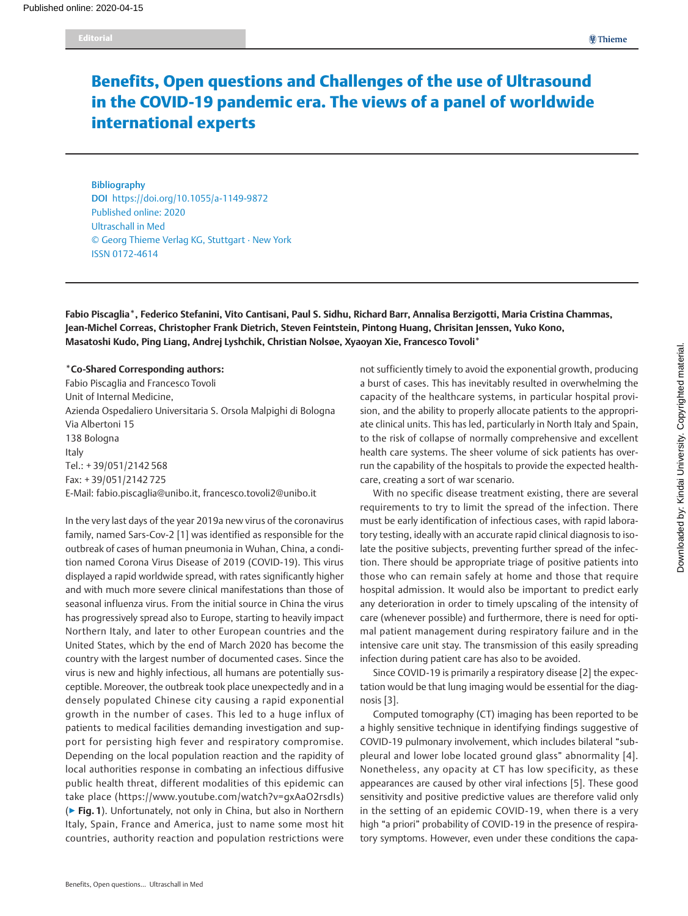## Benefits, Open questions and Challenges of the use of Ultrasound in the COVID-19 pandemic era. The views of a panel of worldwide international experts

Bibliography DOI https://doi.org/10.1055/a-1149-9872 Published online: 2020 Ultraschall in Med © Georg Thieme Verlag KG, Stuttgart · New York ISSN 0172-4614

Fabio Piscaglia\*, Federico Stefanini, Vito Cantisani, Paul S. Sidhu, Richard Barr, Annalisa Berzigotti, Maria Cristina Chammas, Jean-Michel Correas, Christopher Frank Dietrich, Steven Feintstein, Pintong Huang, Chrisitan Jenssen, Yuko Kono, Masatoshi Kudo, Ping Liang, Andrej Lyshchik, Christian Nolsøe, Xyaoyan Xie, Francesco Tovoli\*

## \*Co-Shared Corresponding authors:

Fabio Piscaglia and Francesco Tovoli Unit of Internal Medicine, Azienda Ospedaliero Universitaria S. Orsola Malpighi di Bologna Via Albertoni 15 138 Bologna Italy Tel.: + 39/051/2142 568 Fax: + 39/051/2142 725 E-Mail: [fabio.piscaglia@unibo.it](mailto:fabio.piscaglia@unibo.it), [francesco.tovoli2@unibo.it](mailto:francesco.tovoli2@unibo.it)

In the very last days of the year 2019a new virus of the coronavirus family, named Sars-Cov-2 [1] was identified as responsible for the outbreak of cases of human pneumonia in Wuhan, China, a condition named Corona Virus Disease of 2019 (COVID-19). This virus displayed a rapid worldwide spread, with rates significantly higher and with much more severe clinical manifestations than those of seasonal influenza virus. From the initial source in China the virus has progressively spread also to Europe, starting to heavily impact Northern Italy, and later to other European countries and the United States, which by the end of March 2020 has become the country with the largest number of documented cases. Since the virus is new and highly infectious, all humans are potentially susceptible. Moreover, the outbreak took place unexpectedly and in a densely populated Chinese city causing a rapid exponential growth in the number of cases. This led to a huge influx of patients to medical facilities demanding investigation and support for persisting high fever and respiratory compromise. Depending on the local population reaction and the rapidity of local authorities response in combating an infectious diffusive public health threat, different modalities of this epidemic can take place ([https://www.youtube.com/watch?v=gxAaO2rsdIs\)](https://www.youtube.com/watch?v=gxAaO2rsdIs) (▶ Fig. 1). Unfortunately, not only in China, but also in Northern Italy, Spain, France and America, just to name some most hit countries, authority reaction and population restrictions were

not sufficiently timely to avoid the exponential growth, producing a burst of cases. This has inevitably resulted in overwhelming the capacity of the healthcare systems, in particular hospital provision, and the ability to properly allocate patients to the appropriate clinical units. This has led, particularly in North Italy and Spain, to the risk of collapse of normally comprehensive and excellent health care systems. The sheer volume of sick patients has overrun the capability of the hospitals to provide the expected healthcare, creating a sort of war scenario.

With no specific disease treatment existing, there are several requirements to try to limit the spread of the infection. There must be early identification of infectious cases, with rapid laboratory testing, ideally with an accurate rapid clinical diagnosis to isolate the positive subjects, preventing further spread of the infection. There should be appropriate triage of positive patients into those who can remain safely at home and those that require hospital admission. It would also be important to predict early any deterioration in order to timely upscaling of the intensity of care (whenever possible) and furthermore, there is need for optimal patient management during respiratory failure and in the intensive care unit stay. The transmission of this easily spreading infection during patient care has also to be avoided.

Since COVID-19 is primarily a respiratory disease [2] the expectation would be that lung imaging would be essential for the diagnosis [3].

Computed tomography (CT) imaging has been reported to be a highly sensitive technique in identifying findings suggestive of COVID-19 pulmonary involvement, which includes bilateral "subpleural and lower lobe located ground glass" abnormality [4]. Nonetheless, any opacity at CT has low specificity, as these appearances are caused by other viral infections [5]. These good sensitivity and positive predictive values are therefore valid only in the setting of an epidemic COVID-19, when there is a very high "a priori" probability of COVID-19 in the presence of respiratory symptoms. However, even under these conditions the capa-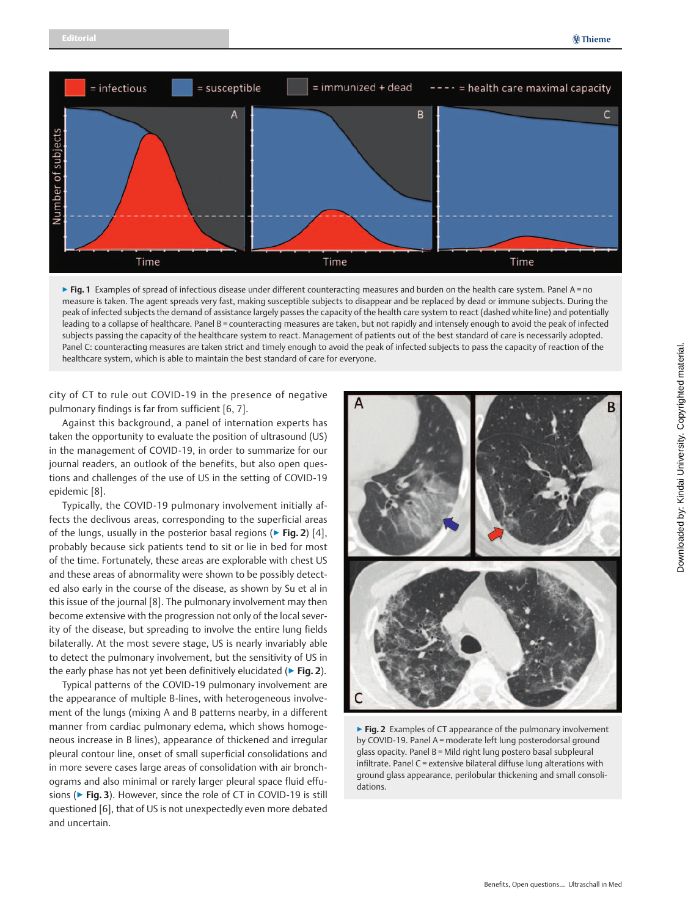

▶ Fig. 1 Examples of spread of infectious disease under different counteracting measures and burden on the health care system. Panel A = no measure is taken. The agent spreads very fast, making susceptible subjects to disappear and be replaced by dead or immune subjects. During the peak of infected subjects the demand of assistance largely passes the capacity of the health care system to react (dashed white line) and potentially leading to a collapse of healthcare. Panel B = counteracting measures are taken, but not rapidly and intensely enough to avoid the peak of infected subjects passing the capacity of the healthcare system to react. Management of patients out of the best standard of care is necessarily adopted. Panel C: counteracting measures are taken strict and timely enough to avoid the peak of infected subjects to pass the capacity of reaction of the healthcare system, which is able to maintain the best standard of care for everyone.

city of CT to rule out COVID-19 in the presence of negative pulmonary findings is far from sufficient [6, 7].

Against this background, a panel of internation experts has taken the opportunity to evaluate the position of ultrasound (US) in the management of COVID-19, in order to summarize for our journal readers, an outlook of the benefits, but also open questions and challenges of the use of US in the setting of COVID-19 epidemic [8].

Typically, the COVID-19 pulmonary involvement initially affects the declivous areas, corresponding to the superficial areas of the lungs, usually in the posterior basal regions ( $\triangleright$  Fig. 2) [4], probably because sick patients tend to sit or lie in bed for most of the time. Fortunately, these areas are explorable with chest US and these areas of abnormality were shown to be possibly detected also early in the course of the disease, as shown by Su et al in this issue of the journal [8]. The pulmonary involvement may then become extensive with the progression not only of the local severity of the disease, but spreading to involve the entire lung fields bilaterally. At the most severe stage, US is nearly invariably able to detect the pulmonary involvement, but the sensitivity of US in the early phase has not yet been definitively elucidated ( $\triangleright$  Fig. 2).

Typical patterns of the COVID-19 pulmonary involvement are the appearance of multiple B-lines, with heterogeneous involvement of the lungs (mixing A and B patterns nearby, in a different manner from cardiac pulmonary edema, which shows homogeneous increase in B lines), appearance of thickened and irregular pleural contour line, onset of small superficial consolidations and in more severe cases large areas of consolidation with air bronchograms and also minimal or rarely larger pleural space fluid effusions (▶ Fig. 3). However, since the role of CT in COVID-19 is still questioned [6], that of US is not unexpectedly even more debated and uncertain.



▶ Fig. 2 Examples of CT appearance of the pulmonary involvement by COVID-19. Panel A = moderate left lung posterodorsal ground glass opacity. Panel B = Mild right lung postero basal subpleural infiltrate. Panel C = extensive bilateral diffuse lung alterations with ground glass appearance, perilobular thickening and small consolidations.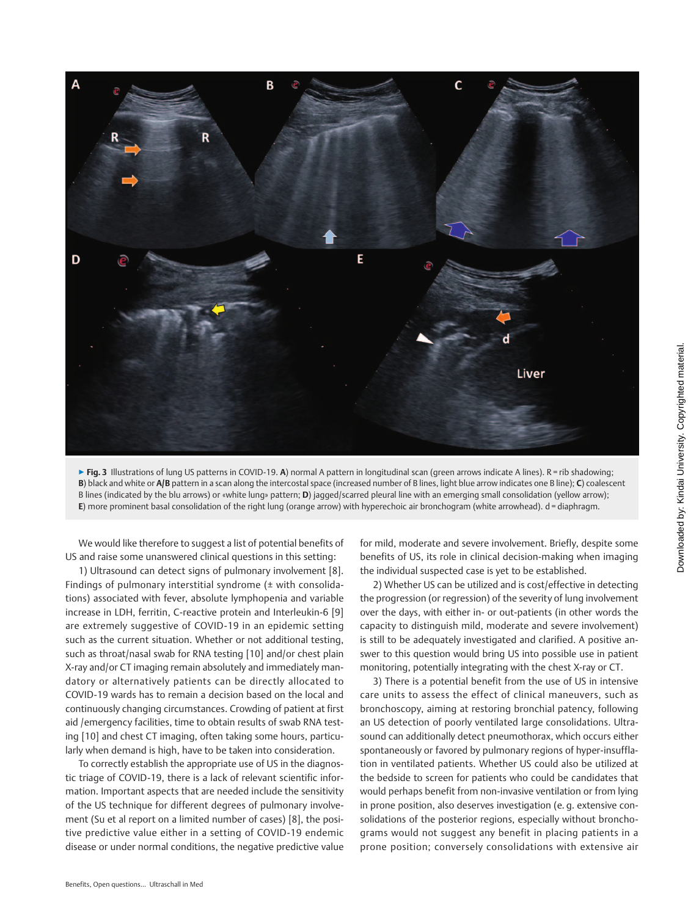

▶ Fig. 3 Illustrations of lung US patterns in COVID-19. A) normal A pattern in longitudinal scan (green arrows indicate A lines). R = rib shadowing; B) black and white or A/B pattern in a scan along the intercostal space (increased number of B lines, light blue arrow indicates one B line); C) coalescent B lines (indicated by the blu arrows) or «white lung» pattern; D) jagged/scarred pleural line with an emerging small consolidation (yellow arrow); E) more prominent basal consolidation of the right lung (orange arrow) with hyperechoic air bronchogram (white arrowhead). d = diaphragm.

We would like therefore to suggest a list of potential benefits of US and raise some unanswered clinical questions in this setting:

1) Ultrasound can detect signs of pulmonary involvement [8]. Findings of pulmonary interstitial syndrome (± with consolidations) associated with fever, absolute lymphopenia and variable increase in LDH, ferritin, C-reactive protein and Interleukin-6 [9] are extremely suggestive of COVID-19 in an epidemic setting such as the current situation. Whether or not additional testing, such as throat/nasal swab for RNA testing [10] and/or chest plain X-ray and/or CT imaging remain absolutely and immediately mandatory or alternatively patients can be directly allocated to COVID-19 wards has to remain a decision based on the local and continuously changing circumstances. Crowding of patient at first aid /emergency facilities, time to obtain results of swab RNA testing [10] and chest CT imaging, often taking some hours, particularly when demand is high, have to be taken into consideration.

To correctly establish the appropriate use of US in the diagnostic triage of COVID-19, there is a lack of relevant scientific information. Important aspects that are needed include the sensitivity of the US technique for different degrees of pulmonary involvement (Su et al report on a limited number of cases) [8], the positive predictive value either in a setting of COVID-19 endemic disease or under normal conditions, the negative predictive value for mild, moderate and severe involvement. Briefly, despite some benefits of US, its role in clinical decision-making when imaging the individual suspected case is yet to be established.

2) Whether US can be utilized and is cost/effective in detecting the progression (or regression) of the severity of lung involvement over the days, with either in- or out-patients (in other words the capacity to distinguish mild, moderate and severe involvement) is still to be adequately investigated and clarified. A positive answer to this question would bring US into possible use in patient monitoring, potentially integrating with the chest X-ray or CT.

3) There is a potential benefit from the use of US in intensive care units to assess the effect of clinical maneuvers, such as bronchoscopy, aiming at restoring bronchial patency, following an US detection of poorly ventilated large consolidations. Ultrasound can additionally detect pneumothorax, which occurs either spontaneously or favored by pulmonary regions of hyper-insufflation in ventilated patients. Whether US could also be utilized at the bedside to screen for patients who could be candidates that would perhaps benefit from non-invasive ventilation or from lying in prone position, also deserves investigation (e. g. extensive consolidations of the posterior regions, especially without bronchograms would not suggest any benefit in placing patients in a prone position; conversely consolidations with extensive air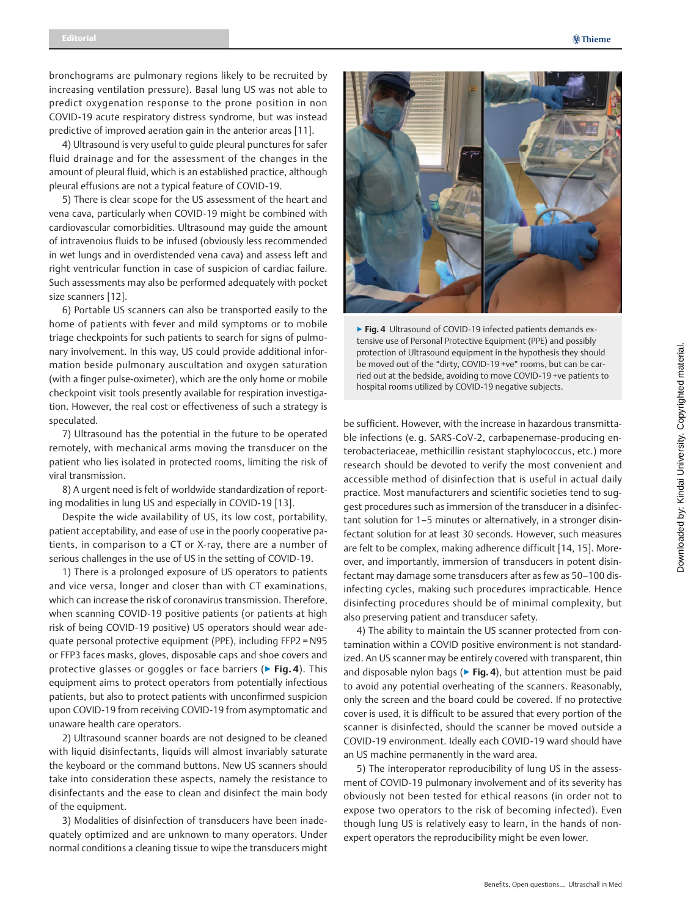bronchograms are pulmonary regions likely to be recruited by increasing ventilation pressure). Basal lung US was not able to predict oxygenation response to the prone position in non COVID-19 acute respiratory distress syndrome, but was instead predictive of improved aeration gain in the anterior areas [11].

4) Ultrasound is very useful to guide pleural punctures for safer fluid drainage and for the assessment of the changes in the amount of pleural fluid, which is an established practice, although pleural effusions are not a typical feature of COVID-19.

5) There is clear scope for the US assessment of the heart and vena cava, particularly when COVID-19 might be combined with cardiovascular comorbidities. Ultrasound may guide the amount of intravenoius fluids to be infused (obviously less recommended in wet lungs and in overdistended vena cava) and assess left and right ventricular function in case of suspicion of cardiac failure. Such assessments may also be performed adequately with pocket size scanners [12].

6) Portable US scanners can also be transported easily to the home of patients with fever and mild symptoms or to mobile triage checkpoints for such patients to search for signs of pulmonary involvement. In this way, US could provide additional information beside pulmonary auscultation and oxygen saturation (with a finger pulse-oximeter), which are the only home or mobile checkpoint visit tools presently available for respiration investigation. However, the real cost or effectiveness of such a strategy is speculated.

7) Ultrasound has the potential in the future to be operated remotely, with mechanical arms moving the transducer on the patient who lies isolated in protected rooms, limiting the risk of viral transmission.

8) A urgent need is felt of worldwide standardization of reporting modalities in lung US and especially in COVID-19 [13].

Despite the wide availability of US, its low cost, portability, patient acceptability, and ease of use in the poorly cooperative patients, in comparison to a CT or X-ray, there are a number of serious challenges in the use of US in the setting of COVID-19.

1) There is a prolonged exposure of US operators to patients and vice versa, longer and closer than with CT examinations, which can increase the risk of coronavirus transmission. Therefore, when scanning COVID-19 positive patients (or patients at high risk of being COVID-19 positive) US operators should wear adequate personal protective equipment (PPE), including FFP2 = N95 or FFP3 faces masks, gloves, disposable caps and shoe covers and protective glasses or goggles or face barriers (▶ Fig. 4). This equipment aims to protect operators from potentially infectious patients, but also to protect patients with unconfirmed suspicion upon COVID-19 from receiving COVID-19 from asymptomatic and unaware health care operators.

2) Ultrasound scanner boards are not designed to be cleaned with liquid disinfectants, liquids will almost invariably saturate the keyboard or the command buttons. New US scanners should take into consideration these aspects, namely the resistance to disinfectants and the ease to clean and disinfect the main body of the equipment.

3) Modalities of disinfection of transducers have been inadequately optimized and are unknown to many operators. Under normal conditions a cleaning tissue to wipe the transducers might

▶ Fig. 4 Ultrasound of COVID-19 infected patients demands extensive use of Personal Protective Equipment (PPE) and possibly protection of Ultrasound equipment in the hypothesis they should be moved out of the "dirty, COVID-19 +ve" rooms, but can be carried out at the bedside, avoiding to move COVID-19 +ve patients to

hospital rooms utilized by COVID-19 negative subjects.

**@Thieme** 

be sufficient. However, with the increase in hazardous transmittable infections (e. g. SARS-CoV-2, carbapenemase-producing enterobacteriaceae, methicillin resistant staphylococcus, etc.) more research should be devoted to verify the most convenient and accessible method of disinfection that is useful in actual daily practice. Most manufacturers and scientific societies tend to suggest procedures such as immersion of the transducer in a disinfectant solution for 1–5 minutes or alternatively, in a stronger disinfectant solution for at least 30 seconds. However, such measures are felt to be complex, making adherence difficult [14, 15]. Moreover, and importantly, immersion of transducers in potent disinfectant may damage some transducers after as few as 50–100 disinfecting cycles, making such procedures impracticable. Hence disinfecting procedures should be of minimal complexity, but also preserving patient and transducer safety.

4) The ability to maintain the US scanner protected from contamination within a COVID positive environment is not standardized. An US scanner may be entirely covered with transparent, thin and disposable nylon bags ( $\triangleright$  Fig. 4), but attention must be paid to avoid any potential overheating of the scanners. Reasonably, only the screen and the board could be covered. If no protective cover is used, it is difficult to be assured that every portion of the scanner is disinfected, should the scanner be moved outside a COVID-19 environment. Ideally each COVID-19 ward should have an US machine permanently in the ward area.

5) The interoperator reproducibility of lung US in the assessment of COVID-19 pulmonary involvement and of its severity has obviously not been tested for ethical reasons (in order not to expose two operators to the risk of becoming infected). Even though lung US is relatively easy to learn, in the hands of nonexpert operators the reproducibility might be even lower.